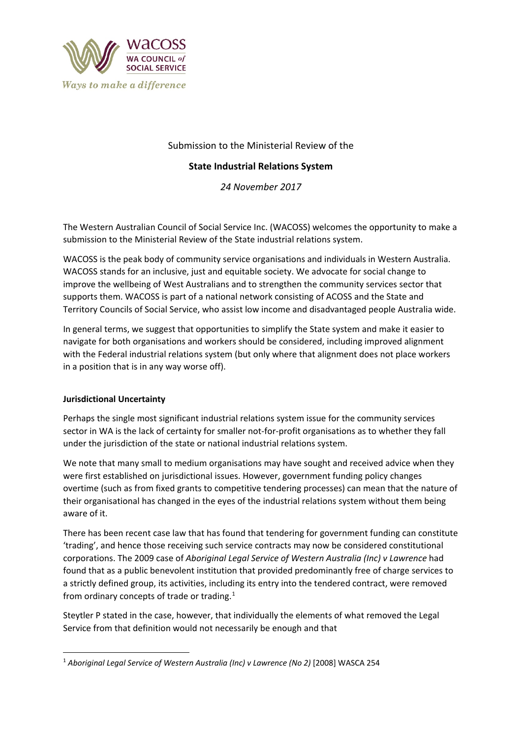

# Submission to the Ministerial Review of the

## **State Industrial Relations System**

*24 November 2017*

The Western Australian Council of Social Service Inc. (WACOSS) welcomes the opportunity to make a submission to the Ministerial Review of the State industrial relations system.

WACOSS is the peak body of community service organisations and individuals in Western Australia. WACOSS stands for an inclusive, just and equitable society. We advocate for social change to improve the wellbeing of West Australians and to strengthen the community services sector that supports them. WACOSS is part of a national network consisting of ACOSS and the State and Territory Councils of Social Service, who assist low income and disadvantaged people Australia wide.

In general terms, we suggest that opportunities to simplify the State system and make it easier to navigate for both organisations and workers should be considered, including improved alignment with the Federal industrial relations system (but only where that alignment does not place workers in a position that is in any way worse off).

## **Jurisdictional Uncertainty**

Perhaps the single most significant industrial relations system issue for the community services sector in WA is the lack of certainty for smaller not-for-profit organisations as to whether they fall under the jurisdiction of the state or national industrial relations system.

We note that many small to medium organisations may have sought and received advice when they were first established on jurisdictional issues. However, government funding policy changes overtime (such as from fixed grants to competitive tendering processes) can mean that the nature of their organisational has changed in the eyes of the industrial relations system without them being aware of it.

There has been recent case law that has found that tendering for government funding can constitute 'trading', and hence those receiving such service contracts may now be considered constitutional corporations. The 2009 case of *Aboriginal Legal Service of Western Australia (Inc) v Lawrence* had found that as a public benevolent institution that provided predominantly free of charge services to a strictly defined group, its activities, including its entry into the tendered contract, were removed from ordinary concepts of trade or trading. $1$ 

Steytler P stated in the case, however, that individually the elements of what removed the Legal Service from that definition would not necessarily be enough and that

<span id="page-0-0"></span> <sup>1</sup> *Aboriginal Legal Service of Western Australia (Inc) v Lawrence (No 2)* [2008] WASCA 254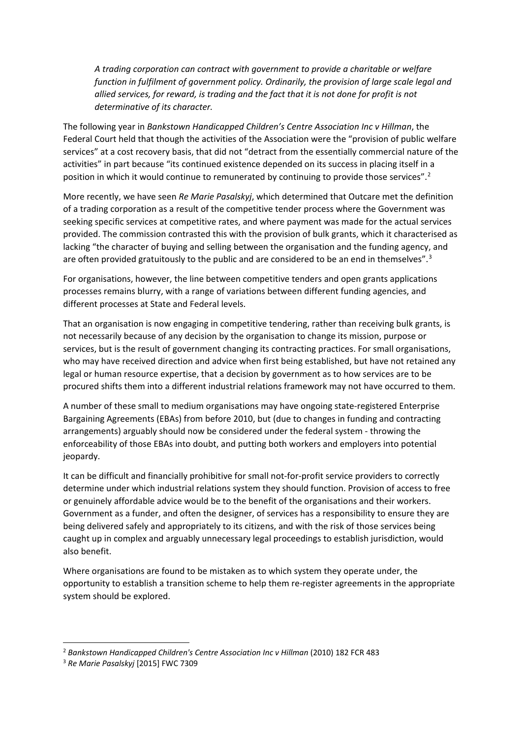*A trading corporation can contract with government to provide a charitable or welfare function in fulfilment of government policy. Ordinarily, the provision of large scale legal and allied services, for reward, is trading and the fact that it is not done for profit is not determinative of its character.*

The following year in *Bankstown Handicapped Children's Centre Association Inc v Hillman*, the Federal Court held that though the activities of the Association were the "provision of public welfare services" at a cost recovery basis, that did not "detract from the essentially commercial nature of the activities" in part because "its continued existence depended on its success in placing itself in a position in which it would continue to remunerated by continuing to provide those services".<sup>[2](#page-1-0)</sup>

More recently, we have seen *Re Marie Pasalskyj*, which determined that Outcare met the definition of a trading corporation as a result of the competitive tender process where the Government was seeking specific services at competitive rates, and where payment was made for the actual services provided. The commission contrasted this with the provision of bulk grants, which it characterised as lacking "the character of buying and selling between the organisation and the funding agency, and are often provided gratuitously to the public and are considered to be an end in themselves".<sup>[3](#page-1-1)</sup>

For organisations, however, the line between competitive tenders and open grants applications processes remains blurry, with a range of variations between different funding agencies, and different processes at State and Federal levels.

That an organisation is now engaging in competitive tendering, rather than receiving bulk grants, is not necessarily because of any decision by the organisation to change its mission, purpose or services, but is the result of government changing its contracting practices. For small organisations, who may have received direction and advice when first being established, but have not retained any legal or human resource expertise, that a decision by government as to how services are to be procured shifts them into a different industrial relations framework may not have occurred to them.

A number of these small to medium organisations may have ongoing state-registered Enterprise Bargaining Agreements (EBAs) from before 2010, but (due to changes in funding and contracting arrangements) arguably should now be considered under the federal system - throwing the enforceability of those EBAs into doubt, and putting both workers and employers into potential jeopardy.

It can be difficult and financially prohibitive for small not-for-profit service providers to correctly determine under which industrial relations system they should function. Provision of access to free or genuinely affordable advice would be to the benefit of the organisations and their workers. Government as a funder, and often the designer, of services has a responsibility to ensure they are being delivered safely and appropriately to its citizens, and with the risk of those services being caught up in complex and arguably unnecessary legal proceedings to establish jurisdiction, would also benefit.

Where organisations are found to be mistaken as to which system they operate under, the opportunity to establish a transition scheme to help them re-register agreements in the appropriate system should be explored.

<span id="page-1-0"></span><sup>&</sup>lt;sup>2</sup> Bankstown Handicapped Children's Centre Association Inc v Hillman (2010) 182 FCR 483

<span id="page-1-1"></span><sup>3</sup> *Re Marie Pasalskyj* [2015] FWC 7309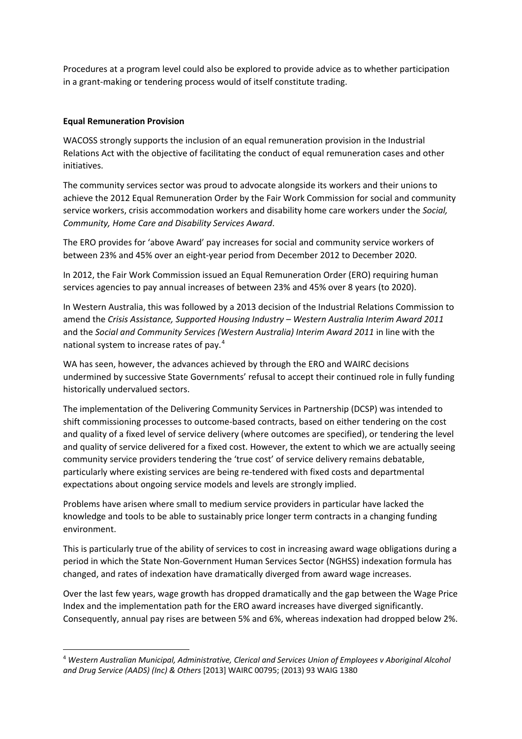Procedures at a program level could also be explored to provide advice as to whether participation in a grant-making or tendering process would of itself constitute trading.

### **Equal Remuneration Provision**

WACOSS strongly supports the inclusion of an equal remuneration provision in the Industrial Relations Act with the objective of facilitating the conduct of equal remuneration cases and other initiatives.

The community services sector was proud to advocate alongside its workers and their unions to achieve the 2012 Equal Remuneration Order by the Fair Work Commission for social and community service workers, crisis accommodation workers and disability home care workers under the *Social, Community, Home Care and Disability Services Award*.

The ERO provides for 'above Award' pay increases for social and community service workers of between 23% and 45% over an eight-year period from December 2012 to December 2020.

In 2012, the Fair Work Commission issued an Equal Remuneration Order (ERO) requiring human services agencies to pay annual increases of between 23% and 45% over 8 years (to 2020).

In Western Australia, this was followed by a 2013 decision of the Industrial Relations Commission to amend the *Crisis Assistance, Supported Housing Industry – Western Australia Interim Award 2011* and the *Social and Community Services (Western Australia) Interim Award 2011* in line with the national system to increase rates of pay.[4](#page-2-0)

WA has seen, however, the advances achieved by through the ERO and WAIRC decisions undermined by successive State Governments' refusal to accept their continued role in fully funding historically undervalued sectors.

The implementation of the Delivering Community Services in Partnership (DCSP) was intended to shift commissioning processes to outcome-based contracts, based on either tendering on the cost and quality of a fixed level of service delivery (where outcomes are specified), or tendering the level and quality of service delivered for a fixed cost. However, the extent to which we are actually seeing community service providers tendering the 'true cost' of service delivery remains debatable, particularly where existing services are being re-tendered with fixed costs and departmental expectations about ongoing service models and levels are strongly implied.

Problems have arisen where small to medium service providers in particular have lacked the knowledge and tools to be able to sustainably price longer term contracts in a changing funding environment.

This is particularly true of the ability of services to cost in increasing award wage obligations during a period in which the State Non-Government Human Services Sector (NGHSS) indexation formula has changed, and rates of indexation have dramatically diverged from award wage increases.

Over the last few years, wage growth has dropped dramatically and the gap between the Wage Price Index and the implementation path for the ERO award increases have diverged significantly. Consequently, annual pay rises are between 5% and 6%, whereas indexation had dropped below 2%.

<span id="page-2-0"></span> <sup>4</sup> *Western Australian Municipal, Administrative, Clerical and Services Union of Employees v Aboriginal Alcohol and Drug Service (AADS) (Inc) & Others* [2013] WAIRC 00795; (2013) 93 WAIG 1380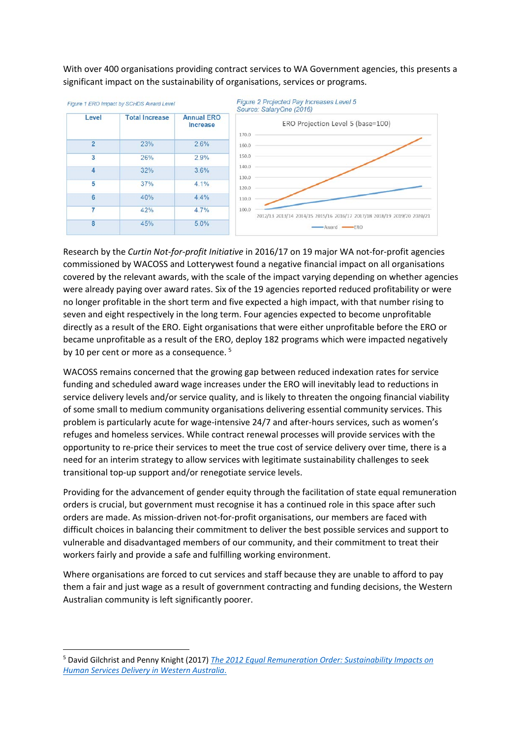With over 400 organisations providing contract services to WA Government agencies, this presents a significant impact on the sustainability of organisations, services or programs.



Research by the *Curtin Not-for-profit Initiative* in 2016/17 on 19 major WA not-for-profit agencies commissioned by WACOSS and Lotterywest found a negative financial impact on all organisations covered by the relevant awards, with the scale of the impact varying depending on whether agencies were already paying over award rates. Six of the 19 agencies reported reduced profitability or were no longer profitable in the short term and five expected a high impact, with that number rising to seven and eight respectively in the long term. Four agencies expected to become unprofitable directly as a result of the ERO. Eight organisations that were either unprofitable before the ERO or became unprofitable as a result of the ERO, deploy 182 programs which were impacted negatively by 10 per cent or more as a consequence.<sup>[5](#page-3-0)</sup>

WACOSS remains concerned that the growing gap between reduced indexation rates for service funding and scheduled award wage increases under the ERO will inevitably lead to reductions in service delivery levels and/or service quality, and is likely to threaten the ongoing financial viability of some small to medium community organisations delivering essential community services. This problem is particularly acute for wage-intensive 24/7 and after-hours services, such as women's refuges and homeless services. While contract renewal processes will provide services with the opportunity to re-price their services to meet the true cost of service delivery over time, there is a need for an interim strategy to allow services with legitimate sustainability challenges to seek transitional top-up support and/or renegotiate service levels.

Providing for the advancement of gender equity through the facilitation of state equal remuneration orders is crucial, but government must recognise it has a continued role in this space after such orders are made. As mission-driven not-for-profit organisations, our members are faced with difficult choices in balancing their commitment to deliver the best possible services and support to vulnerable and disadvantaged members of our community, and their commitment to treat their workers fairly and provide a safe and fulfilling working environment.

Where organisations are forced to cut services and staff because they are unable to afford to pay them a fair and just wage as a result of government contracting and funding decisions, the Western Australian community is left significantly poorer.

<span id="page-3-0"></span> <sup>5</sup> David Gilchrist and Penny Knight (2017) *[The 2012 Equal Remuneration Order: Sustainability Impacts on](http://www.wacoss.org.au/wp-content/uploads/2017/06/170606-WACOSS-CEWA-ERO-Report-FINAL.pdf)  [Human Services Delivery in Western Australia](http://www.wacoss.org.au/wp-content/uploads/2017/06/170606-WACOSS-CEWA-ERO-Report-FINAL.pdf)*.